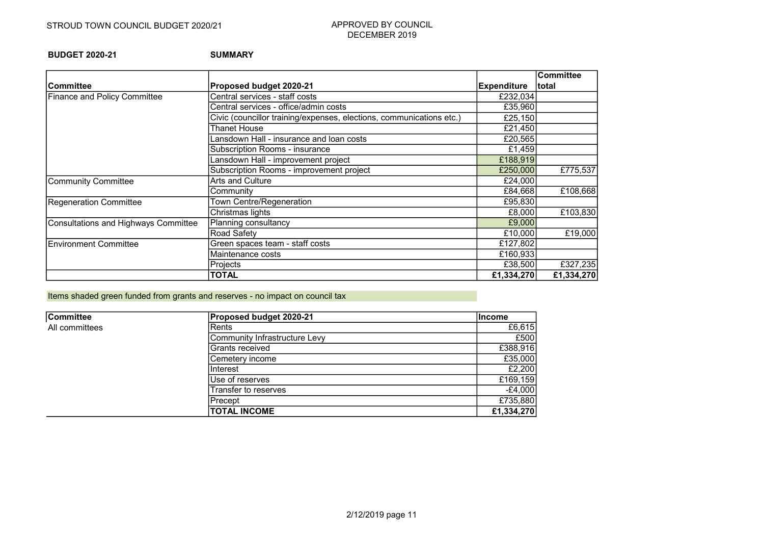BUDGET 2020-21 SUMMARY

|                                      |                                                                      |                    | <b>Committee</b> |
|--------------------------------------|----------------------------------------------------------------------|--------------------|------------------|
| lCommittee                           | Proposed budget 2020-21                                              | <b>Expenditure</b> | total            |
| <b>Finance and Policy Committee</b>  | Central services - staff costs                                       | £232,034           |                  |
|                                      | Central services - office/admin costs                                | £35,960            |                  |
|                                      | Civic (councillor training/expenses, elections, communications etc.) | £25,150            |                  |
|                                      | Thanet House                                                         | £21,450            |                  |
|                                      | ansdown Hall - insurance and loan costs                              | £20,565            |                  |
|                                      | Subscription Rooms - insurance                                       | £1,459             |                  |
|                                      | Lansdown Hall - improvement project                                  | £188,919           |                  |
|                                      | Subscription Rooms - improvement project                             | £250,000           | £775,537         |
| Community Committee                  | Arts and Culture                                                     | £24,000            |                  |
|                                      | Community                                                            | £84,668            | £108,668         |
| Regeneration Committee               | Town Centre/Regeneration                                             | £95,830            |                  |
|                                      | Christmas lights                                                     | £8,000             | £103,830         |
| Consultations and Highways Committee | Planning consultancy                                                 | £9,000             |                  |
|                                      | Road Safety                                                          | £10,000            | £19,000          |
| Environment Committee                | Green spaces team - staff costs                                      | £127,802           |                  |
|                                      | Maintenance costs                                                    | £160,933           |                  |
|                                      | Projects                                                             | £38,500            | £327,235         |
|                                      | <b>TOTAL</b>                                                         | £1,334,270         | £1,334,270       |

Items shaded green funded from grants and reserves - no impact on council tax

| <b>Committee</b> | <b>Proposed budget 2020-21</b> | lIncome    |
|------------------|--------------------------------|------------|
| All committees   | Rents                          | £6,615     |
|                  | Community Infrastructure Levy  | £500       |
|                  | Grants received                | £388,916   |
|                  | Cemetery income                | £35,000    |
|                  | Interest                       | £2,200     |
|                  | Use of reserves                | £169,159   |
|                  | Transfer to reserves           | $-E4,000$  |
|                  | Precept                        | £735,880   |
|                  | <b>TOTAL INCOME</b>            | £1,334,270 |